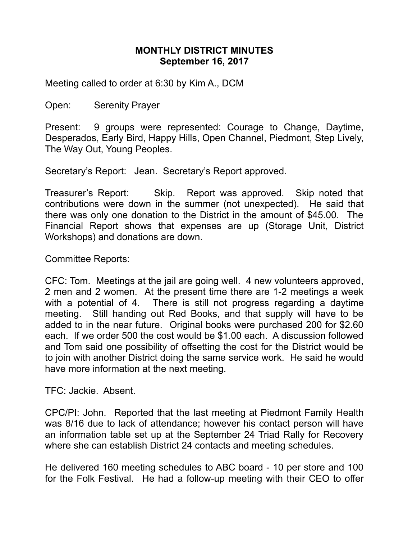## **MONTHLY DISTRICT MINUTES September 16, 2017**

Meeting called to order at 6:30 by Kim A., DCM

Open: Serenity Prayer

Present: 9 groups were represented: Courage to Change, Daytime, Desperados, Early Bird, Happy Hills, Open Channel, Piedmont, Step Lively, The Way Out, Young Peoples.

Secretary's Report: Jean. Secretary's Report approved.

Treasurer's Report: Skip. Report was approved. Skip noted that contributions were down in the summer (not unexpected). He said that there was only one donation to the District in the amount of \$45.00. The Financial Report shows that expenses are up (Storage Unit, District Workshops) and donations are down.

Committee Reports:

CFC: Tom. Meetings at the jail are going well. 4 new volunteers approved, 2 men and 2 women. At the present time there are 1-2 meetings a week with a potential of 4. There is still not progress regarding a daytime meeting. Still handing out Red Books, and that supply will have to be added to in the near future. Original books were purchased 200 for \$2.60 each. If we order 500 the cost would be \$1.00 each. A discussion followed and Tom said one possibility of offsetting the cost for the District would be to join with another District doing the same service work. He said he would have more information at the next meeting.

TFC: Jackie. Absent.

CPC/PI: John. Reported that the last meeting at Piedmont Family Health was 8/16 due to lack of attendance; however his contact person will have an information table set up at the September 24 Triad Rally for Recovery where she can establish District 24 contacts and meeting schedules.

He delivered 160 meeting schedules to ABC board - 10 per store and 100 for the Folk Festival. He had a follow-up meeting with their CEO to offer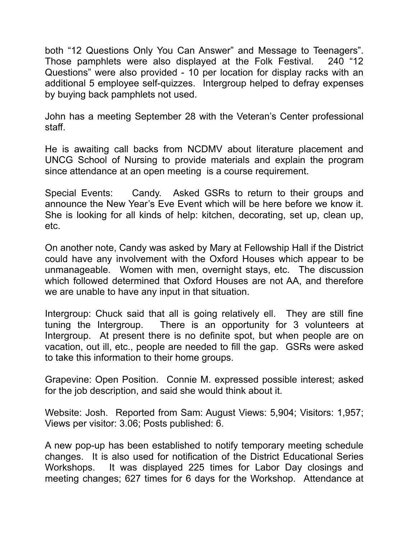both "12 Questions Only You Can Answer" and Message to Teenagers". Those pamphlets were also displayed at the Folk Festival. 240 "12 Questions" were also provided - 10 per location for display racks with an additional 5 employee self-quizzes. Intergroup helped to defray expenses by buying back pamphlets not used.

John has a meeting September 28 with the Veteran's Center professional staff.

He is awaiting call backs from NCDMV about literature placement and UNCG School of Nursing to provide materials and explain the program since attendance at an open meeting is a course requirement.

Special Events: Candy. Asked GSRs to return to their groups and announce the New Year's Eve Event which will be here before we know it. She is looking for all kinds of help: kitchen, decorating, set up, clean up, etc.

On another note, Candy was asked by Mary at Fellowship Hall if the District could have any involvement with the Oxford Houses which appear to be unmanageable. Women with men, overnight stays, etc. The discussion which followed determined that Oxford Houses are not AA, and therefore we are unable to have any input in that situation.

Intergroup: Chuck said that all is going relatively ell. They are still fine tuning the Intergroup. There is an opportunity for 3 volunteers at Intergroup. At present there is no definite spot, but when people are on vacation, out ill, etc., people are needed to fill the gap. GSRs were asked to take this information to their home groups.

Grapevine: Open Position. Connie M. expressed possible interest; asked for the job description, and said she would think about it.

Website: Josh. Reported from Sam: August Views: 5,904; Visitors: 1,957; Views per visitor: 3.06; Posts published: 6.

A new pop-up has been established to notify temporary meeting schedule changes. It is also used for notification of the District Educational Series Workshops. It was displayed 225 times for Labor Day closings and meeting changes; 627 times for 6 days for the Workshop. Attendance at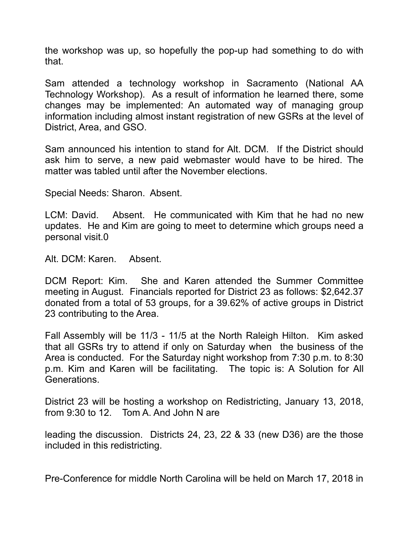the workshop was up, so hopefully the pop-up had something to do with that.

Sam attended a technology workshop in Sacramento (National AA Technology Workshop). As a result of information he learned there, some changes may be implemented: An automated way of managing group information including almost instant registration of new GSRs at the level of District, Area, and GSO.

Sam announced his intention to stand for Alt. DCM. If the District should ask him to serve, a new paid webmaster would have to be hired. The matter was tabled until after the November elections.

Special Needs: Sharon. Absent.

LCM: David. Absent. He communicated with Kim that he had no new updates. He and Kim are going to meet to determine which groups need a personal visit.0

Alt. DCM: Karen. Absent.

DCM Report: Kim. She and Karen attended the Summer Committee meeting in August. Financials reported for District 23 as follows: \$2,642.37 donated from a total of 53 groups, for a 39.62% of active groups in District 23 contributing to the Area.

Fall Assembly will be 11/3 - 11/5 at the North Raleigh Hilton. Kim asked that all GSRs try to attend if only on Saturday when the business of the Area is conducted. For the Saturday night workshop from 7:30 p.m. to 8:30 p.m. Kim and Karen will be facilitating. The topic is: A Solution for All Generations.

District 23 will be hosting a workshop on Redistricting, January 13, 2018, from 9:30 to 12. Tom A. And John N are

leading the discussion. Districts 24, 23, 22 & 33 (new D36) are the those included in this redistricting.

Pre-Conference for middle North Carolina will be held on March 17, 2018 in